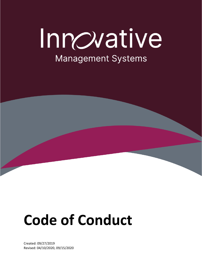# Innovative **Management Systems**



Created: 09/27/2019 Revised: 04/10/2020, 09/15/2020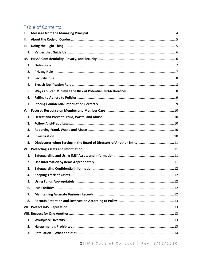# Table of Contents

| П.<br>1.<br>IV.<br>1.<br>2.<br>3.<br>4.<br>5.<br>6.<br>7.<br>1.<br>2.<br>3.<br>4.<br>5.<br>1.<br>2.<br>3.<br>4.<br>5.<br>6.<br>7.<br>8.<br>1.<br>2.<br>3. | Ι.  |  |  |  |  |  |
|-----------------------------------------------------------------------------------------------------------------------------------------------------------|-----|--|--|--|--|--|
|                                                                                                                                                           |     |  |  |  |  |  |
|                                                                                                                                                           | Ш.  |  |  |  |  |  |
|                                                                                                                                                           |     |  |  |  |  |  |
|                                                                                                                                                           |     |  |  |  |  |  |
|                                                                                                                                                           |     |  |  |  |  |  |
|                                                                                                                                                           |     |  |  |  |  |  |
|                                                                                                                                                           |     |  |  |  |  |  |
|                                                                                                                                                           |     |  |  |  |  |  |
|                                                                                                                                                           |     |  |  |  |  |  |
|                                                                                                                                                           |     |  |  |  |  |  |
|                                                                                                                                                           |     |  |  |  |  |  |
|                                                                                                                                                           | V.  |  |  |  |  |  |
|                                                                                                                                                           |     |  |  |  |  |  |
|                                                                                                                                                           |     |  |  |  |  |  |
|                                                                                                                                                           |     |  |  |  |  |  |
|                                                                                                                                                           |     |  |  |  |  |  |
|                                                                                                                                                           |     |  |  |  |  |  |
|                                                                                                                                                           | VI. |  |  |  |  |  |
|                                                                                                                                                           |     |  |  |  |  |  |
|                                                                                                                                                           |     |  |  |  |  |  |
|                                                                                                                                                           |     |  |  |  |  |  |
|                                                                                                                                                           |     |  |  |  |  |  |
|                                                                                                                                                           |     |  |  |  |  |  |
|                                                                                                                                                           |     |  |  |  |  |  |
|                                                                                                                                                           |     |  |  |  |  |  |
|                                                                                                                                                           |     |  |  |  |  |  |
|                                                                                                                                                           |     |  |  |  |  |  |
|                                                                                                                                                           |     |  |  |  |  |  |
|                                                                                                                                                           |     |  |  |  |  |  |
|                                                                                                                                                           |     |  |  |  |  |  |
|                                                                                                                                                           |     |  |  |  |  |  |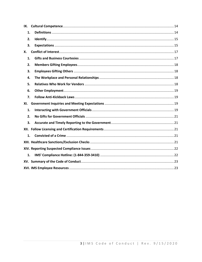| 1.  |  |  |  |  |
|-----|--|--|--|--|
| 2.  |  |  |  |  |
| 3.  |  |  |  |  |
| Х.  |  |  |  |  |
| 1.  |  |  |  |  |
| 2.  |  |  |  |  |
| 3.  |  |  |  |  |
| 4.  |  |  |  |  |
| 5.  |  |  |  |  |
| 6.  |  |  |  |  |
| 7.  |  |  |  |  |
| XI. |  |  |  |  |
| 1.  |  |  |  |  |
| 2.  |  |  |  |  |
| 3.  |  |  |  |  |
|     |  |  |  |  |
| 1.  |  |  |  |  |
|     |  |  |  |  |
|     |  |  |  |  |
| 1.  |  |  |  |  |
|     |  |  |  |  |
|     |  |  |  |  |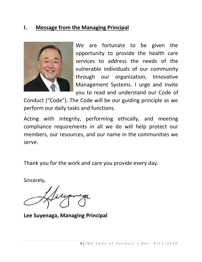## <span id="page-3-0"></span>**I. Message from the Managing Principal**



We are fortunate to be given the opportunity to provide the health care services to address the needs of the vulnerable individuals of our community through our organization, Innovative Management Systems. I urge and invite you to read and understand our Code of

Conduct ("Code"). The Code will be our guiding principle as we perform our daily tasks and functions.

Acting with integrity, performing ethically, and meeting compliance requirements in all we do will help protect our members, our resources, and our name in the communities we serve.

Thank you for the work and care you provide every day.

Sincerely,

**Lee Suyenaga, Managing Principal**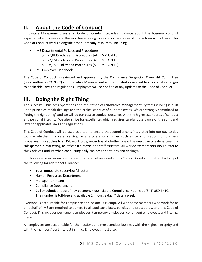## <span id="page-4-0"></span>**II. About the Code of Conduct**

Innovative Management Systems' Code of Conduct provides guidance about the business conduct expected of employees and the workforce during work and in the course of interactions with others. This Code of Conduct works alongside other Company resources, including:

- IMS Departmental Policies and Procedures:
	- o X:\!IMS Policy and Procedures [ALL EMPLOYEES]
	- o Y:\!IMS Policy and Procedures [ALL EMPLOYEES]
	- o S:\!IMS Policy and Procedures [ALL EMPLOYEES]
- IMS Employee Handbook.

The Code of Conduct is reviewed and approved by the Compliance Delegation Oversight Committee ("Committee" or "CDOC") and Executive Management and is updated as needed to incorporate changes to applicable laws and regulations. Employees will be notified of any updates to the Code of Conduct.

## <span id="page-4-1"></span>**III. Doing the Right Thing**

The successful business operations and reputation of **Innovative Management Systems** ("IMS") is built upon principles of fair dealings and the ethical conduct of our employees. We are strongly committed to "doing the right thing" and we will do our best to conduct ourselves with the highest standards of conduct and personal integrity. We also strive for excellence, which requires careful observance of the spirit and letter of applicable laws and regulations.

This Code of Conduct will be used as a tool to ensure that compliance is integrated into our day-to-day work – whether it is care, service, or any operational duties such as communications or business processes. This applies to all IMS workforce, regardless of whether one is the executive of a department, a salesperson in marketing, an officer, a director, or a staff assistant. All workforce members should refer to this Code of Conduct when conducting daily business operations and dealings.

Employees who experience situations that are not included in this Code of Conduct must contact any of the following for additional guidance:

- Your immediate supervisor/director
- Human Resources Department
- Management team
- Compliance Department
- Call or submit a report (may be anonymous) via the Compliance Hotline at (844) 359-3410. This number is toll-free and available 24 hours a day, 7 days a week.

Everyone is accountable for compliance and no one is exempt. All workforce members who work for or on behalf of IMS are required to adhere to all applicable laws, policies and procedures, and this Code of Conduct. This includes permanent employees, temporary employees, contingent employees, and interns, if any.

All employees are accountable for their actions and must conduct business with the highest integrity and with the members' best interest in mind. Employees must also: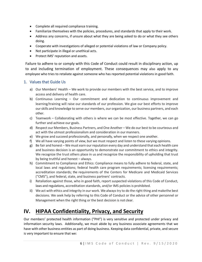- Complete all required compliance training.
- Familiarize themselves with the policies, procedures, and standards that apply to their work.
- Address any concerns, if unsure about what they are being asked to do or what they see others doing.
- Cooperate with investigations of alleged or potential violations of law or Company policy.
- Not participate in illegal or unethical acts.
- Protect IMS' reputation and assets.

Failure to adhere to or comply with this Code of Conduct could result in disciplinary action, up to and including termination of employment. These consequences may also apply to any employee who tries to retaliate against someone who has reported potential violations in good faith.

#### <span id="page-5-0"></span>1. Values that Guide Us

- a) Our Members' Health We work to provide our members with the best service, and to improve access and delivery of health care.
- b) Continuous Learning Our commitment and dedication to continuous improvement and learning/training will raise our standards of our profession. We give our best efforts to improve ourskills and knowledge to serve our members, our organization, our business partners, and each other.
- c) Teamwork Collaborating with others is where we can be most effective. Together, we can go further and achieve our goals.
- d) Respect our Members, Business Partners, and One Another We do our best to be courteous and act with the utmost professionalism and consideration in our manners.
- e) We grow and succeed professionally, and personally, when we respect one another.
- f) We all have varying points of view, but we must respect and listen to these varying opinions.
- g) Be fair and honest We must earn our reputation every day and understand that each health care and business decision is an opportunity to demonstrate our commitment to ethics and integrity. We recognize the trust others place in us and recognize the responsibility of upholding that trust by being truthful and honest – always.
- h) Commitment to Compliance and Ethics: Compliance means to fully adhere to federal, state, and local laws and regulations; federal health care program requirements; licensing requirements; accreditation standards; the requirements of the Centers for Medicare and Medicaid Services ("CMS"), and federal, state, and business partners' contracts.
- i) Retaliation against those, who in good faith, report suspected violations of this Code of Conduct, laws and regulations, accreditation standards, and/or IMS policies is prohibited.
- ii) We act with ethics and integrity in our work. We always try to do the right thing and makethe best decisions. We seek help by referring to this Code of Conduct or the advice of other personnel or Management when the right thing or the best decision is not clear.

# <span id="page-5-1"></span>**IV. HIPAA Confidentiality, Privacy, and Security**

Our members' protected health information ("PHI") is very sensitive and protected under privacy and information security laws. Additionally, we must abide by any business associate agreements that we have with other business entities as part of doing business. Keeping data confidential, private, and secure is very important to ensure that we: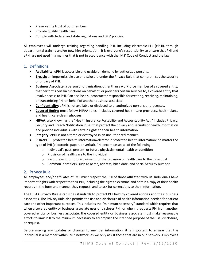- Preserve the trust of our members.
- Provide quality health care.
- Comply with federal and state regulations and IMS' policies.

All employees will undergo training regarding handling PHI, including electronic PHI (ePHI), through departmental training and/or new hire orientation. It is everyone's responsibility to ensure that PHI and ePHI are not used in a manner that is not in accordance with the IMS' Code of Conduct and the law.

#### <span id="page-6-0"></span>1. Definitions

- **Availability**: ePHI is accessible and usable on demand by authorized persons.
- **Breach:** an impermissible use or disclosure under the Privacy Rule that compromises the security or privacy of PHI.
- **Business Associate:** a person or organization, other than a workforce member of a covered entity, that performs certain functions on behalf of, or providers certain services to, a covered entity that involve access to PHI. Can also be a subcontractor responsible for creating, receiving, maintaining, or transmitting PHI on behalf of another business associate.
- **Confidentiality**: ePHI is not available or disclosed to unauthorized persons or processes.
- **Covered Entity:** must follow HIPAA rules. Includes covered health care providers, health plans, and health care clearinghouses.
- **HIPAA**: also known as the "Health Insurance Portability and Accountability Act," includes Privacy, Security and Breach Notification Rules that protect the privacy and security of health information and provide individuals with certain rights to their health information.
- **Integrity**: ePHI is not altered or destroyed in an unauthorized manner.
- **PHI/ePHI** protected health information/electronic protected health information; no matter the type of PHI (electronic, paper, or verbal), PHI encompasses all of the following:
	- o Individual's past, present, or future physical/mental health or condition
	- o Provision of health care to the individual
	- o Past, present, or future payment for the provision of health care to the individual
	- $\circ$  Common identifiers, such as name, address, birth date, and Social Security number

#### <span id="page-6-1"></span>2. Privacy Rule

All employees and/or affiliates of IMS must respect the PHI of those affiliated with us. Individuals have important rights with respect to their PHI, including the right to examine and obtain a copy of their health records in the form and manner they request, and to ask for corrections to their information.

The HIPAA Privacy Rule establishes standards to protect PHI held by covered entities and their business associates. The Privacy Rule also permits the use and disclosure of health information needed for patient care and other important purposes. This includes the "minimum necessary" standard which requires that when a covered entity or business associate uses or discloses PHI, or when it requests PHI from another covered entity or business associate, the covered entity or business associate must make reasonable efforts to limit PHI to the minimum necessary to accomplish the intended purpose of the use, disclosure, or request.

Before making any updates or changes to member information, it is important to ensure that the individual is a member within IMS' network, as we only assist those that are in our network. Employees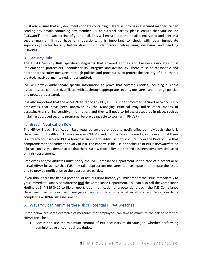must also ensure that any documents or data containing PHI are sent to us in a secured manner. When sending any emails containing any member PHI to external parties, please ensure that you include "[SECURE]" in the subject line of your email. This will ensure that the email is encrypted and sent in a secure manner. If you have any questions, it is important to check with your immediate supervisor/director for any further directions or clarification before using, disclosing, and handling PHI/ePHI.

#### <span id="page-7-0"></span>3. Security Rule

The HIPAA Security Rule specifies safeguards that covered entities and business associates must implement to protect ePHI confidentiality, integrity, and availability. There must be reasonable and appropriate security measures, through policies and procedures, to protect the security of EPHI that is created, received, maintained, or transmitted.

IMS will always authenticate specific information to prove that covered entities, including business associates, are contracted/affiliated with us through appropriate security measures, and through policies and procedures created.

It is also important that the access/transfer of any PHI/ePHI is under protected secured network. Only employees that have been approved by the Managing Principal may utilize other means of accessing/transferring sensitive information, and they will need to follow procedures in place, such as installing approved security programs, before being able to work with PHI/ePHI.

#### <span id="page-7-1"></span>4. Breach Notification Rule

The HIPAA Breach Notification Rule requires covered entities to notify affected individuals, the U.S. Department of Health and Human Services ("HHS"), and in some cases, the media, in the event that there is a breach of unsecured PHI. A breach is an impermissible use or disclosure under the Privacy Rule that compromises the security or privacy of PHI. The impermissible use or disclosure of PHI is *presumed* to be a breach unless you demonstrate that there is a low probability that the PHI has been compromised based on a risk assessment.

Employees and/or affiliates must notify the IMS Compliance Department in the case of a potential or actual HIPAA breach so that IMS may take appropriate measures to investigate and mitigate the issue, and to provide notification to the appropriate parties.

If you think there has been a potential or actual HIPAA breach, you must report the issue immediately to your immediate supervisor/director **and** the Compliance Department. You can also call the Compliance Hotline at 844-359-3410 to file a report. Upon notification of a potential breach, the IMS Compliance Department will conduct an investigation, and will determine whether it is a reportable breach by completing a HIPAA risk assessment.

#### <span id="page-7-2"></span>5. Ways You can Minimize the Risk of Potential HIPAA Breaches

Listed below are some examples of measures that employees can take to minimize the risk of potential HIPAA breaches:

• Access and use the minimum amount of PHI necessary to do your job, whether performing administrative and/or business duties.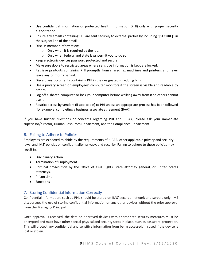- Use confidential information or protected health information (PHI) only with proper security authorization.
- Ensure any emails containing PHI are sent securely to external parties by including "[SECURE]" in the subject line of the email.
- Discuss member information:
	- $\circ$  Only when it is required by the job.
	- o Only when federal and state laws permit you to do so.
- Keep electronic devices password protected and secure.
- Make sure doors to restricted areas where sensitive information is kept are locked.
- Retrieve printouts containing PHI promptly from shared fax machines and printers, and never leave any printouts behind.
- Discard any documents containing PHI in the designated shredding bins.
- Use a privacy screen on employees' computer monitors if the screen is visible and readable by others.
- Log off a shared computer or lock your computer before walking away from it so others cannot use it.
- Restrict access by vendors (if applicable) to PHI unless an appropriate process has been followed (for example, completing a business associate agreement (BAA)).

If you have further questions or concerns regarding PHI and HIPAA, please ask your immediate supervisor/director, Human Resources Department, and the Compliance Department.

## <span id="page-8-0"></span>6. Failing to Adhere to Policies

Employees are expected to abide by the requirements of HIPAA, other applicable privacy and security laws, and IMS' policies on confidentiality, privacy, and security. Failing to adhere to these policies may result in:

- Disciplinary Action
- Termination of Employment
- Criminal prosecution by the Office of Civil Rights, state attorney general, or United States attorneys.
- Prison time
- Sanctions

## <span id="page-8-1"></span>7. Storing Confidential Information Correctly

Confidential information, such as PHI, should be stored on IMS' secured network and servers only. IMS discourages the use of storing confidential information on any other devices without the prior approval from the Managing Principal.

Once approval is received, the data on approved devices with appropriate security measures must be encrypted and must have other special physical and security steps in place, such as password-protection. This will protect any confidential and sensitive information from being accessed/misused if the device is lost or stolen.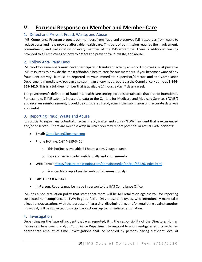## <span id="page-9-0"></span>**V. Focused Response on Member and Member Care**

#### <span id="page-9-1"></span>1. Detect and Prevent Fraud, Waste, and Abuse

IMS' Compliance Program protects our members from fraud and preserves IMS' resources from waste to reduce costs and help provide affordable health care. This part of our mission requires the involvement, commitment, and participation of every member of the IMS workforce. There is additional training provided to all employees on how to detect and prevent fraud, waste, and abuse.

#### <span id="page-9-2"></span>2. Follow Anti-Fraud Laws

IMS workforce members must never participate in fraudulent activity at work. Employees must preserve IMS resources to provide the most affordable health care for our members. If you become aware of any fraudulent activity, it must be reported to your immediate supervisor/director **and** the Compliance Department immediately. You can also submit an anonymous report via the Compliance Hotline at **1-844- 359-3410**. This is a toll-free number that is available 24 hours a day, 7 days a week.

The government's definition of fraud in a health care setting includes certain acts that are not intentional. For example, if IMS submits inaccurate data to the Centers for Medicare and Medicaid Services ("CMS") and receives reimbursement, it could be considered fraud, even if the submission of inaccurate data was accidental.

#### <span id="page-9-3"></span>3. Reporting Fraud, Waste and Abuse

It is crucial to report any potential or actual fraud, waste, and abuse ("FWA") incident that is experienced and/or observed. There are multiple ways in which you may report potential or actual FWA incidents:

- **Email**[: Compliance@imsmso.com](mailto:Compliance@imsmso.com)
- **Phone Hotline**: 1-844-359-3410
	- $\circ$  This hotline is available 24 hours a day, 7 days a week
	- o Reports can be made confidentially and **anonymously**
- **Web Portal**:<https://secure.ethicspoint.com/domain/media/en/gui/58226/index.html>
	- o You can file a report on the web portal **anonymously**
- **Fax**: 1-323-832-8141
- **In-Person**: Reports may be made in person to the IMS Compliance Officer

IMS has a non-retaliation policy that states that there will be NO retaliation against you for reporting suspected non-compliance or FWA in good faith. Only those employees, who intentionally make false allegations/accusations with the purpose of harassing, discriminating, and/or retaliating against another individual, will be subjected to disciplinary actions, up to immediate termination.

#### <span id="page-9-4"></span>4. Investigation

Depending on the type of incident that was reported, it is the responsibility of the Directors, Human Resources Department, and/or Compliance Department to respond to and investigate reports within an appropriate amount of time. Investigations shall be handled by persons having sufficient level of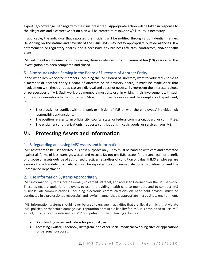expertise/knowledge with regard to the issue presented. Appropriate action will be taken in response to the allegations and a corrective action plan will be created to resolve any/all issues, if necessary.

If applicable, the individual that reported the incident will be notified through a confidential manner. Depending on the nature and severity of the issue, IMS may notify appropriate outside agencies, law enforcement, or regulatory boards, and if necessary, any business affiliates, contractors, and/or health plans.

IMS will maintain documentation regarding these incidences for a minimum of ten (10) years after the investigation has been completed and closed.

#### <span id="page-10-0"></span>5. Disclosures when Serving in the Board of Directors of Another Entity

If and when IMS workforce members, including the IMS' Board of Directors, want to voluntarily serve as a member of another entity's board of directors or an advisory board, it must be made clear that involvement with these entities is as an individual and does not necessarily represent the interests, values, or perspectives of IMS. Such workforce members must disclose, in writing, their involvement with such entities or organizations to their supervisor/director, Human Resources, and the Compliance Department, **if:**

- These activities conflict with the work or mission of IMS or with the employees' individual job responsibilities/functions.
- The position relates to an official city, county, state, or federal commission, board, or committee.
- The entity(ies) or organization(s) requests contributions in cash, goods, or services from IMS.

## <span id="page-10-1"></span>**VI. Protecting Assets and Information**

## <span id="page-10-2"></span>1. Safeguarding and Using IMS' Assets and Information

IMS' assets are to be used for IMS' business purposes only. They must be handled with care and protected against all forms of loss, damage, waste, and misuse. Do not use IMS' assets for personal gain or benefit or dispose of assets outside of authorized practices regardless of condition or value. If IMS employees are aware of any fraudulent activity, it must be reported to your immediate supervisor/director **and** the Compliance Department.

#### <span id="page-10-3"></span>2. Use Information Systems Appropriately

IMS' information systems include e-mail, voicemail, intranet, and access to Internet over the IMS network. These assets are tools for employees to use in providing health care to members and to conduct IMS business. All communications, including electronic communications on hand-held devices, must be conducted in a professional, respectful, and lawful manner that is appropriate in a business environment.

IMS' information systems should never be used to engage in activities that are illegal or illicit, that violate IMS' policies, or that could damage IMS' reputation or result in liability for IMS. It is prohibited to use IMS' e-mail, intranet, or the internet on IMS' computers for the following activities:

- Downloading music and videos for personal use.
- Accessing Twitter, Facebook, Instagram, and other social media/networking sites or applications for personal purposes.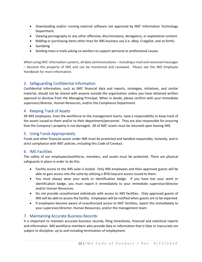- Downloading and/or running external software not approved by IMS' Information Technology Department.
- Viewing pornography or any other offensive, discriminatory, derogatory, or exploitative content.
- Bidding or purchasing items other than for IMS business use (i.e. eBay, Craigslist, and so forth).
- Gambling
- Sending mass e-mails asking co-workers to support personal or professional causes.

When using IMS' information systems, all data communications – including e-mail and voicemail messages – become the property of IMS and can be monitored and reviewed. Please see the IMS Employee Handbook for more information.

#### <span id="page-11-0"></span>3. Safeguarding Confidential Information

Confidential information, such as IMS' financial data and reports, strategies, initiatives, and similar material, should not be shared with anyone outside the organization unless you have obtained written approval to disclose from the Managing Principal. When in doubt, please confirm with your immediate supervisor/director, Human Resources, and/or the Compliance Department.

#### <span id="page-11-1"></span>4. Keeping Track of Assets

All IMS employees, from the workforce to the management teams, have a responsibility to keep track of the assets issued to them and/or to their department/personnel. They are also responsible for ensuring that the Company's property is not damaged. All of IMS' assets must be returned upon leaving IMS.

#### <span id="page-11-2"></span>5. Using Funds Appropriately

Funds and other financial assets under IMS must be protected and handled responsibly, honestly, and in strict compliance with IMS' policies, including this Code of Conduct.

#### <span id="page-11-3"></span>6. IMS Facilities

The safety of our employees/workforce, members, and assets must be protected. There are physical safeguards in place in order to do this:

- Facility access to the IMS suite is locked. Only IMS employees and their approved guests will be able to gain access into the suite by utilizing a RFID keycard access issued to them.
- You must always wear your work or identification badge. If you have lost your work or identification badge, you must report it immediately to your immediate supervisor/director and/or Human Resources.
- Do not provide unauthorized individuals with access to IMS facilities. Only approved guests of IMS will be able to access the facility. Employees will be notified when guests are to be expected.
- If employees become aware of unauthorized access to IMS' facilities, report this immediately to your supervisor/director, Human Resources, and/or the management team.

#### <span id="page-11-4"></span>7. Maintaining Accurate Business Records

It is important to maintain accurate business records, filing timesheets, financial and statistical reports and information. IMS workforce members who provide data or information that is false or inaccurate are subject to discipline, up to and including termination of employment.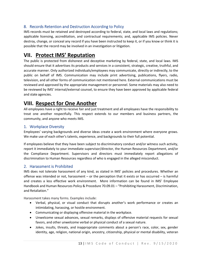## <span id="page-12-0"></span>8. Records Retention and Destruction According to Policy

IMS records must be retained and destroyed according to federal, state, and local laws and regulations; applicable licensing, accreditation, and contractual requirements; and, applicable IMS policies. Never destroy, change, or conceal any record if you have been instructed to keep it, or if you know or think it is possible that the record may be involved in an investigation or litigation.

## <span id="page-12-1"></span>**VII. Protect IMS' Reputation**

The public is protected from dishonest and deceptive marketing by federal, state, and local laws. IMS should ensure that it advertises its products and services in a consistent, strategic, creative, truthful, and accurate manner. Only authorized individuals/employees may communicate, directly or indirectly, to the public on behalf of IMS. Communication may include print advertising, publications, flyers, radio, television, and all other forms of communication not mentioned here. External communications must be reviewed and approved by the appropriate management or personnel. Some materials may also need to be reviewed by IMS' internal/external counsel, to ensure they have been approved by applicable federal and state agencies.

## <span id="page-12-2"></span>**VIII. Respect for One Another**

All employees have a right to receive fair and just treatment and all employees have the responsibility to treat one another respectfully. This respect extends to our members and business partners, the community, and anyone who meets IMS.

#### <span id="page-12-3"></span>1. Workplace Diversity

Employees' varying backgrounds and diverse ideas create a work environment where everyone grows. We make use of each other's talents, experience, and backgrounds to their full potential.

If employees believe that they have been subject to discriminatory conduct and/or witness such activity, report it immediately to your immediate supervisor/director, the Human Resources Department, and/or the Compliance Department. Supervisors and directors must immediately report allegations of discrimination to Human Resources regardless of who is engaged in the alleged misconduct.

#### <span id="page-12-4"></span>2. Harassment is Prohibited

IMS does not tolerate harassment of any kind, as stated in IMS' policies and procedures. Whether an offense was intended or not, harassment – or the perception that it exists or has occurred – is harmful and creates a less effective work environment. More information can be found in IMS' Employee Handbook and Human Resources Policy & Procedure 70.09.01 – "Prohibiting Harassment, Discrimination, and Retaliation."

Harassment takes many forms. Examples include:

- Verbal, physical, or visual conduct that disrupts another's work performance or creates an intimidating, harassing, or hostile environment.
- Communicating or displaying offensive material in the workplace.
- Unwelcome sexual advances, sexual remarks, displays of offensive material requests for sexual favors, and other unwelcome verbal or physical conduct of a sexual nature.
- Jokes, insults, threats, and inappropriate comments about a person's race, color, sex, gender identity, age, religion, national origin, ancestry, citizenship, physical or mental disability, veteran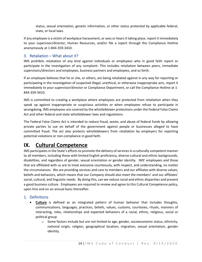status, sexual orientation, genetic information, or other status protected by applicable federal, state, or local laws.

If any employee is a victim of workplace harassment, or sees or hears it taking place, report it immediately to your supervisor/director, Human Resources, and/or file a report through the Compliance Hotline anonymously at 1-844-359-3410.

#### <span id="page-13-0"></span>3. Retaliation – What about it?

IMS prohibits retaliation of any kind against individuals or employees who in good faith report or participate in the investigation of any complaint. This includes retaliation between peers, immediate supervisors/directors and employees, business partners and employees, and so forth.

If an employee believes that he or she, or others, are being retaliated against in any way for reporting or participating in the investigation of suspected illegal, unethical, or otherwise inappropriate acts, report it immediately to your supervisor/director or Compliance Department, or call the Compliance Hotline at 1- 844-359-3410.

IMS is committed to creating a workplace where employees are protected from retaliation when they speak up against inappropriate or suspicious activities or when employees refuse to participate in wrongdoing. IMS employees are covered by the whistleblower protections under the Federal False Claims Act and other federal and state whistleblower laws and regulations.

The Federal False Claims Act is intended to reduce fraud, waste, and abuse of federal funds by allowing private parties to sue on behalf of the government against people or businesses alleged to have committed fraud. The act also protects whistleblowers from retaliation by employers for reporting potential violations or non-compliance in good faith.

## <span id="page-13-1"></span>**IX. Cultural Competence**

IMS participates in the State's efforts to promote the delivery of services in a culturally competent manner to all members, including those with limited English proficiency, diverse cultural and ethnic backgrounds, disabilities, and regardless of gender, sexual orientation or gender identity. IMS' employees and those that are affiliated with us are to treat everyone courteously, with respect, and understanding, no matter the circumstances. We are providing services and care to members and our affiliates with diverse values, beliefs and behaviors, which means that our Company should also meet the members' and our affiliates' social, cultural, and linguistic needs. By doing this, can we reduce racial and ethnic disparities and present a good business culture. Employees are required to review and agree to this Cultural Competence policy, upon hire and on an annual basis thereafter.

#### <span id="page-13-2"></span>1. Definitions

- **Culture** is defined as an integrated pattern of human behavior that includes thoughts, communications, languages, practices, beliefs, values, customs, courtesies, rituals, manners of interacting, roles, relationships and expected behaviors of a racial, ethnic, religious, social or political group
	- $\circ$  Some factors include but are not limited to age, gender, socioeconomic status, ethnicity, national origin, religion, geographical location, migration, sexual orientation, gender identity.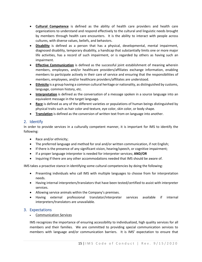- **Cultural Competence** is defined as the ability of health care providers and health care organizations to understand and respond effectively to the cultural and linguistic needs brought by members through health care encounters. It is the ability to interact with people across cultures, with diverse values, beliefs, and behaviors.
- **Disability** is defined as a person that has a physical, developmental, mental impairment, diagnosed disability, temporary disability, a handicap that substantially limits one or more major life activities, has a record of such impairment, or is regarded by others as having such an impairment.
- **Effective Communication** is defined as the successful joint establishment of meaning wherein members, employees, and/or healthcare providers/affiliates exchange information, enabling members to participate actively in their care of service and ensuring that the responsibilities of members, employees, and/or healthcare providers/affiliates are understood.
- **Ethnicity** is a group having a common cultural heritage or nationality, as distinguished by customs, language, common history, etc.
- **Interpretation** is defined as the conversation of a message spoken in a source language into an equivalent message in the target language.
- **Race** is defined as any of the different varieties or populations of human beings distinguished by physical traits such as hair color and texture, eye color, skin color, or body shape.
- **Translation** is defined as the conversion of written text from on language into another.

#### <span id="page-14-0"></span>2. Identify

In order to provide services in a culturally competent manner, it is important for IMS to identify the following:

- Race and/or ethnicity;
- The preferred language and method for oral and/or written communication, if not English;
- If there is the presence of any significant vision, hearing/speech, or cognitive impairment;
- If a proper language interpreter is needed for interpreter services; **AND/OR**
- Inquiring if there are any other accommodations needed that IMS should be aware of.

IMS takes a proactive stance in identifying some cultural competencies by doing the following:

- Presenting individuals who call IMS with multiple languages to choose from for interpretation needs.
- Having internal interpreters/translators that have been tested/certified to assist with interpreter services.
- Allowing service animals within the Company's premises.
- Having external professional translator/interpreter services available if internal interpreters/translators are unavailable.

#### <span id="page-14-1"></span>3. Expectations

• Communication Services

IMS recognizes the importance of ensuring accessibility to individualized, high quality services for all members and their families. We are committed to providing special communication services to members with language and/or communication barriers. It is IMS' expectation to ensure that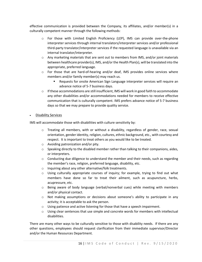effective communication is provided between the Company, its affiliates, and/or member(s) in a culturally competent manner through the following methods:

- o For those with Limited English Proficiency (LEP), IMS can provide over-the-phone interpreter services through internal translators/interpreter services and/or professional third-party translator/interpreter services if the requested language is unavailable via an internal translator/interpreter.
- $\circ$  Any marketing materials that are sent out to members from IMS, and/or joint materials between healthcare provider(s), IMS, and/or the Health Plan(s), will be translated into the appropriate, preferred language.
- $\circ$  For those that are hard-of-hearing and/or deaf, IMS provides online services where members and/or family member(s) may reach us.
	- Requests for onsite American Sign Language interpreter services will require an advance notice of 5-7 business days.
- $\circ$  If these accommodations are still insufficient, IMS will work in good faith to accommodate any other disabilities and/or accommodations needed for members to receive effective communication that is culturally competent. IMS prefers advance notice of 5-7 business days so that we may prepare to provide quality service.

#### • Disability Services

IMS will accommodate those with disabilities with culture sensitivity by:

- $\circ$  Treating all members, with or without a disability, regardless of gender, race, sexual orientation, gender identity, religion, cultures, ethnic background, etc., with courtesy and respect. It is important to treat others as you would like to be treated.
- o Avoiding patronization and/or pity.
- $\circ$  Speaking directly to the disabled member rather than talking to their companions, aides, or interpreters.
- $\circ$  Conducting due diligence to understand the member and their needs, such as regarding the member's race, religion, preferred language, disability, etc.
- o Inquiring about any other alternative/folk treatments.
- $\circ$  Using culturally appropriate courses of inquiry; for example, trying to find out what members have done so far to treat their ailment, such as acupuncture, herbs, acupressure, etc.
- $\circ$  Being aware of body language (verbal/nonverbal cues) while meeting with members and/or physical contact.
- $\circ$  Not making assumptions or decisions about someone's ability to participate in any activity; it is acceptable to ask the person.
- $\circ$  Using patience and active listening for those that have a speech impairment.
- $\circ$  Using clear sentences that use simple and concrete words for members with intellectual disabilities.

There are many other ways to be culturally sensitive to those with disability needs. If there are any other questions, employees should request clarification from their immediate supervisor/Director and/or the Human Resources Department.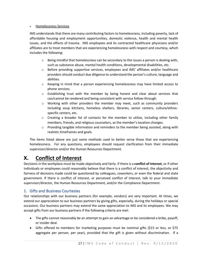#### • Homelessness Services

IMS understands that there are many contributing factors to homelessness, including poverty, lack of affordable housing and employment opportunities, domestic violence, health and mental health issues, and the effects of trauma. IMS employees and its contracted healthcare physicians and/or affiliates are to treat members that are experiencing homelessness with respect and courtesy, which includes the following:

- $\circ$  Being mindful that homelessness can be secondary to the issues a person is dealing with, such as substance abuse, mental health conditions, developmental disabilities, etc.
- $\circ$  Before providing supportive services, employees and IMS' affiliates and/or healthcare providers should conduct due diligence to understand the person's culture, language and abilities.
- $\circ$  Keeping in mind that a person experiencing homelessness may have limited access to phone services.
- $\circ$  Establishing trust with the member by being honest and clear about services that can/cannot be rendered and being consistent with service follow-through.
- $\circ$  Working with other providers the member may meet, such as community providers including soup kitchens, homeless shelters, libraries, senior centers, culture/ethnicspecific centers, etc.
- $\circ$  Creating a broader list of contacts for the member to utilize, including other family members, friends, and religious counselors, as the member's location changes.
- $\circ$  Providing tangible information and reminders to the member being assisted, along with realistic timeframes and goals.

The items listed above are just some methods used to better serve those that are experiencing homelessness. For any questions, employees should request clarification from their immediate supervisor/director and/or the Human Resources Department.

## <span id="page-16-0"></span>**X. Conflict of Interest**

Decisions in the workplace must be made objectively and fairly. If there is a **conflict of interest**, or if other individuals or employees could reasonably believe that there is a conflict of interest, the objectivity and fairness of decisions made could be questioned by colleagues, coworkers, or even the federal and state government. If there is conflict of interest, or perceived conflict of interest, talk to your immediate supervisor/director, the Human Resources Department, and/or the Compliance Department.

## <span id="page-16-1"></span>1. Gifts and Business Courtesies

Our relationships with our business partners (for example, vendors) are very important. At times, we extend our appreciation to our business partners by giving gifts, especially, during the holidays or special occasions. Our business partners may extend the same appreciation to IMS and its employees. We may accept gifts from our business partners if the following criteria are met:

- The gifts cannot reasonably be an attempt to gain an advantage or be considered a bribe, payoff, or insider deal.
- Gifts offered to members for marketing purposes must be nominal gifts (\$15 or less, or \$75 aggregate per person, per year), provided that the gift is given without discrimination. If a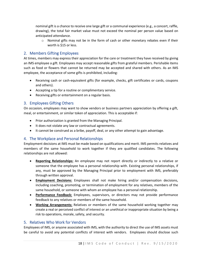nominal gift is a chance to receive one large gift or a communal experience (e.g., a concert, raffle, drawing), the total fair market value must not exceed the nominal per person value based on anticipated attendance.

 $\circ$  Nominal gifts may not be in the form of cash or other monetary rebates even if their worth is \$15 or less.

#### <span id="page-17-0"></span>2. Members Gifting Employees

At times, members may express their appreciation for the care or treatment they have received by giving an IMS employee a gift. Employees may accept reasonable gifts from grateful members. Perishable items such as food or flowers that cannot be returned may be accepted and shared with others. As an IMS employee, the acceptance of some gifts is prohibited, including:

- Receiving cash or cash-equivalent gifts (for example, checks, gift certificates or cards, coupons and others).
- Accepting a tip for a routine or complimentary service.
- Receiving gifts or entertainment on a regular basis.

#### <span id="page-17-1"></span>3. Employees Gifting Others

On occasion, employees may want to show vendors or business partners appreciation by offering a gift, meal, or entertainment, or similar token of appreciation. This is acceptable if:

- Prior authorization is granted from the Managing Principal.
- It does not violate any law or contractual agreements.
- It cannot be construed as a bribe, payoff, deal, or any other attempt to gain advantage.

#### <span id="page-17-2"></span>4. The Workplace and Personal Relationships

Employment decisions at IMS must be made based on qualifications and merit. IMS permits relatives and members of the same household to work together if they are qualified candidates. The following relationships are not allowed:

- **Reporting Relationships:** An employee may not report directly or indirectly to a relative or someone that the employee has a personal relationship with. Existing personal relationships, if any, must be approved by the Managing Principal prior to employment with IMS, preferably through written approval.
- **Employment Decisions:** Employees shall not make hiring and/or compensation decisions, including coaching, promoting, or termination of employment for any relatives, members of the same household, or someone with whom an employee has a personal relationship.
- **Performance Feedback:** Employees, supervisors, or directors may not provide performance feedback to any relatives or members of the same household.
- **Working Arrangements:** Relatives or members of the same household working together may create a real or perceived conflict of interest or an unethical or inappropriate situation by being a risk to operations, morale, safety, and security.

#### <span id="page-17-3"></span>5. Relatives Who Work for Vendors

Employees of IMS, or anyone associated with IMS, with the authority to direct the use of IMS assets must be careful to avoid any potential conflicts of interest with vendors. Employees should disclose such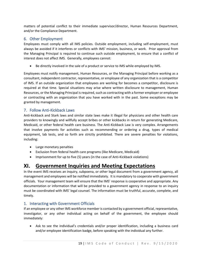matters of potential conflict to their immediate supervisor/director, Human Resources Department, and/or the Compliance Department.

## <span id="page-18-0"></span>6. Other Employment

Employees must comply with all IMS policies. Outside employment, including self-employment, must always be avoided if it interferes or conflicts with IMS' mission, business, or work. Prior approval from the Managing Principal is required to continue such outside employment, to ensure that a conflict of interest does not affect IMS. Generally, employees cannot:

• Be directly involved in the sale of a product or service to IMS while employed by IMS.

Employees must notify management, Human Resources, or the Managing Principal before working as a consultant, independent contractor, representative, or employee of any organization that is a competitor of IMS. If an outside organization that employees are working for becomes a competitor, disclosure is required at that time. Special situations may arise where written disclosure to management, Human Resources, or the Managing Principal is required, such as contracting with a former employer or employee or contracting with an organization that you have worked with in the past. Some exceptions may be granted by management.

## <span id="page-18-1"></span>7. Follow Anti-Kickback Laws

Anti-kickback and Stark laws and similar state laws make it illegal for physicians and other health care providers to knowingly and willfully accept bribes or other kickbacks in return for generating Medicare, Medicaid, or other federal health care business. The Anti-Kickback Law is very complex. Arrangements that involve payments for activities such as recommending or ordering a drug, types of medical equipment, lab tests, and so forth are strictly prohibited. There are severe penalties for violations, including:

- Large monetary penalties
- Exclusion from federal health care programs (like Medicare, Medicaid)
- Imprisonment for up to five (5) years (in the case of Anti-Kickback violations)

## <span id="page-18-2"></span>**XI. Government Inquiries and Meeting Expectations**

In the event IMS receives an inquiry, subpoena, or other legal document from a government agency, all management and employees will be notified immediately. It is mandatory to cooperate with government officials. Your management team will ensure that the IMS' response is cooperative and appropriate. Any documentation or information that will be provided to a government agency in response to an inquiry must be coordinated with IMS' legal counsel. The information must be truthful, accurate, complete, and timely.

## <span id="page-18-3"></span>1. Interacting with Government Officials

If an employee or any other IMS workforce member is contacted by a government official, representative, investigator, or any other individual acting on behalf of the government, the employee should immediately:

• Ask to see the individual's credentials and/or proper identification, including a business card and/or employee identification badge, before speaking with the individual any further.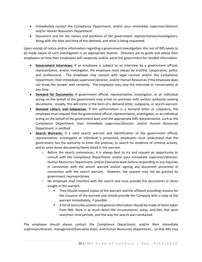- Immediately contact the Compliance Department, and/or your immediate supervisor/director and/or Human Resources Department.
- Document and list the names and positions of the government representatives/investigators, along with the date and time of the demand, and what is being requested.

Upon receipt of notice and/or information regarding a government investigation, the rest of IMS needs to be made aware of such investigation in an appropriate manner. Directors are to guide and advise their employees on how their employees will cooperate and/or assist the government for needed information.

- **Government Interviews:** If an employee is subject to an interview by a government official, representative, and/or investigator, the employee must always be truthful, cooperative, polite, and professional. The employee may consult with legal counsel and/or the Compliance Department, their immediate supervisor/director, and/or Human Resources if the employee does not know the answer with certainty. The employee may stop the interview or conversation at any time.
- **Demand for Documents:** A government official, representative, investigator, or an individual acting on the behalf of the government may arrive on premises with written authority seeking documents. Usually, this will come in the form of a demand letter, subpoena, or search warrant.
- **Demand Letters and Subpoenas:** if the authorization is a demand letter or subpoena, the employee must request that the government official, representative, investigator, or an individual acting on the behalf of the government wait until the appropriate IMS representative, such as the Compliance Department, their immediate supervisor/director, and/or Human Resources Department, is notified.
- **Search Warrants:** If a valid search warrant and identification of the government official, representative, investigator or individual is presented, employees must understand that the government has the authority to enter the premise, to search for evidence of criminal activity, and to seize those documents/items listed in the warrant.
	- $\circ$  Before the search commences, it is always best to try and request an opportunity to consult with the Compliance Department, and/or your immediate supervisor/director, Human Resources Department, and/or Executive team before responding to any inquiries in connection with the search warrant and/or signing any document presented in connection with the search warrant. However, the request may not be granted by government representatives.
	- $\circ$  No employee shall interfere with the search and must provide the documents or items sought in the warrant.
		- They should request copies of the warrant and the affidavit providing reasons for the issuance of the warrant and should provide the Company with a copy of the warrant immediately, if possible.
		- A list of items/documents and general information should be made of items taken from IMS. Note in as much detail the circumstances, areas, and files that were searched, time periods, and the way the search was conducted.

The employee should always contact the Compliance Department, and/or their immediate supervisor/director, management/Executive team, and Human Resources Department, , so that IMS may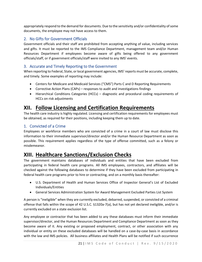appropriately respond to the demand for documents. Due to the sensitivity and/or confidentiality of some documents, the employee may not have access to them.

## <span id="page-20-0"></span>2. No Gifts for Government Officials

Government officials and their staff are prohibited from accepting anything of value, including services and gifts. It must be reported to the IMS Compliance Department, management team and/or Human Resources Department if employees become aware of gifts being offered to any government officials/staff, or if government officials/staff were invited to any IMS' events.

## <span id="page-20-1"></span>3. Accurate and Timely Reporting to the Government

When reporting to Federal, State, or local government agencies, IMS' reports must be accurate, complete, and timely. Some examples of reporting may include:

- Centers for Medicare and Medicaid Services ("CMS") Parts C and D Reporting Requirements
- Corrective Action Plans (CAPs) responses to audit and investigations findings
- Hierarchical Conditions Categories (HCCs) diagnostic and procedural coding requirements of HCCs on risk adjustments

## <span id="page-20-2"></span>**XII. Follow Licensing and Certification Requirements**

The health care industry is highly regulated. Licensing and certification requirements for employees must be obtained, as required for their positions, including keeping them up to date.

#### <span id="page-20-3"></span>1. Convicted of a Crime

Employees or workforce members who are convicted of a crime in a court of law must disclose this information to their immediate supervisor/director and/or the Human Resource Department as soon as possible. This requirement applies regardless of the type of offense committed, such as a felony or misdemeanor.

# <span id="page-20-4"></span>**XIII. Healthcare Sanctions/Exclusion Checks**

The government maintains databases of individuals and entities that have been excluded from participating in federal health care programs. All IMS employees, contractors, and affiliates will be checked against the following databases to determine if they have been excluded from participating in federal health care programs prior to hire or contracting, and on a monthly basis thereafter:

- U.S. Department of Health and Human Services Office of Inspector General's List of Excluded Individuals/Entities
- General Services Administration System for Award Management Excluded Parties List System

A person is "ineligible" when they are currently excluded, debarred, suspended, or convicted of a criminal offense that falls within the scope of 42 U.S.C. §1320a-7(a), but has not yet declared ineligible, and/or is currently excluded on a state exclusion list.

Any employee or contractor that has been added to any these databases must inform their immediate supervisor/director, and the Human Resources Department and Compliance Department as soon as they become aware of it. Any existing or proposed employment, contract, or other association with any individual or entity on these excluded databases will be handled on a case-by-case basis in accordance with the law and IMS policies. All business affiliates and Health Plans will be notified if such occurrence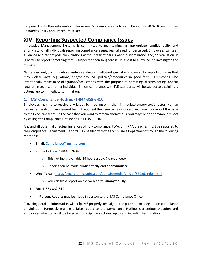happens. For further information, please see IMS Compliance Policy and Procedure 70.02.10 and Human Resources Policy and Procedure 70.09.04.

## <span id="page-21-0"></span>**XIV. Reporting Suspected Compliance Issues**

Innovative Management Systems is committed to maintaining, as appropriate, confidentiality and anonymity for all individuals reporting compliance issues, real, alleged, or perceived. Employees can seek guidance and report possible violations without fear of harassment, discrimination and/or retaliation. It is better to report something that is suspected than to ignore it. It is best to allow IMS to investigate the matter.

No harassment, discrimination, and/or retaliation is allowed against employees who report concerns that may violate laws, regulations, and/or any IMS policies/procedures in good faith. Employees who intentionally make false allegations/accusations with the purpose of harassing, discriminating, and/or retaliating against another individual, in non-compliance with IMS standards, will be subject to disciplinary actions, up to immediate termination.

#### <span id="page-21-1"></span>1. IMS' Compliance Hotline: (1-844-359-3410)

Employees may try to resolve any issues by meeting with their immediate supervisor/director, Human Resources, and/or management team. If you feel the issue remains unresolved, you may report the issue to the Executive team. In the case that you want to remain anonymous, you may file an anonymous report by calling the Compliance Hotline at 1-844-359-3410.

Any and all potential or actual instances of non-compliance, FWA, or HIPAA breaches must be reported to the Compliance Department. Reports may be filed with the Compliance Department through the following methods:

- **Email**[: Compliance@imsmso.com](mailto:Compliance@imsmso.com)
- **Phone Hotline**: 1-844-359-3410
	- o This hotline is available 24 hours a day, 7 days a week
	- o Reports can be made confidentially and **anonymously**
- **Web Portal**:<https://secure.ethicspoint.com/domain/media/en/gui/58226/index.html>
	- o You can file a report on the web portal **anonymously**
- **Fax**: 1-323-832-8141
- **In-Person**: Reports may be made in person to the IMS Compliance Officer

Providing detailed information will help IMS properly investigate the potential or alleged non-compliance or violation. Purposely making a false report to the Compliance Hotline is a serious violation and employees who do so will be faced with disciplinary actions, up to and including termination.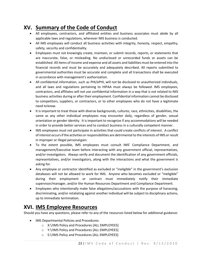# <span id="page-22-0"></span>**XV. Summary of the Code of Conduct**

- All employees, contractors, and affiliated entities and business associates must abide by all applicable laws and regulations, wherever IMS business is conducted.
- All IMS employees will conduct all business activities with integrity, honesty, respect, empathy, safety, security and confidentiality.
- Employees must not knowingly create, maintain, or submit records, reports, or statements that are inaccurate, false, or misleading. No undisclosed or unrecorded funds or assets can be established. All items of income and expense and all assets and liabilities must be entered into the financial records and must be accurately and adequately described. All reports submitted to governmental authorities must be accurate and complete and all transactions shall be executed in accordance with management's authorization.
- All confidential information, such as PHI/ePHI, will not be disclosed to unauthorized individuals, and all laws and regulations pertaining to HIPAA must always be followed. IMS employees, contractors, and affiliates will not use confidential information in a way that is not related to IMS business activities during or after their employment. Confidential information cannot be disclosed to competitors, suppliers, or contractors, or to other employees who do not have a legitimate need toknow.
- It is important to treat those with diverse backgrounds, cultures, race, ethnicities, disabilities, the same as any other individual employees may encounter daily, regardless of gender, sexual orientation or gender identity. It is important to recognize if any accommodations will be needed in order to provide better services and to conduct business in a culturally competent manner.
- IMS employees must not participate in activities that could create conflicts of interest. A conflict of interest occursifthe activities orresponsibilities are detrimental to the interests of IMS or result in improper or illegal personalgain.
- To the extent possible, IMS employees must consult IMS' Compliance Department, and management/Executive team before interacting with any government official, representatives, and/or investigators. Always verify and document the identification of any government officials, representatives, and/or investigators, along with the interactions and what the government is asking for.
- Any employee or contractor identified as excluded or "ineligible" in the government's exclusion databases will not be allowed to work for IMS. Anyone who becomes excluded or "ineligible" during their employment or contract must immediately notify their immediate supervisor/manager, and/or the Human Resources Department and Compliance Department.
- Employees who intentionally make false allegations/accusations with the purpose of harassing, discriminating, and/or retaliating against another individual will be subject to disciplinary actions, up to immediate termination.

# <span id="page-22-1"></span>**XVI. IMS Employee Resources**

Should you have any questions, please refer to any of the resources listed below for additional guidance:

- IMS Departmental Policies and Procedures:
	- o X:\!IMS Policy and Procedures [ALL EMPLOYEES]
	- o Y:\!IMS Policy and Procedures [ALL EMPLOYEES]
	- o S:\!IMS Policy and Procedures [ALL EMPLOYEES]